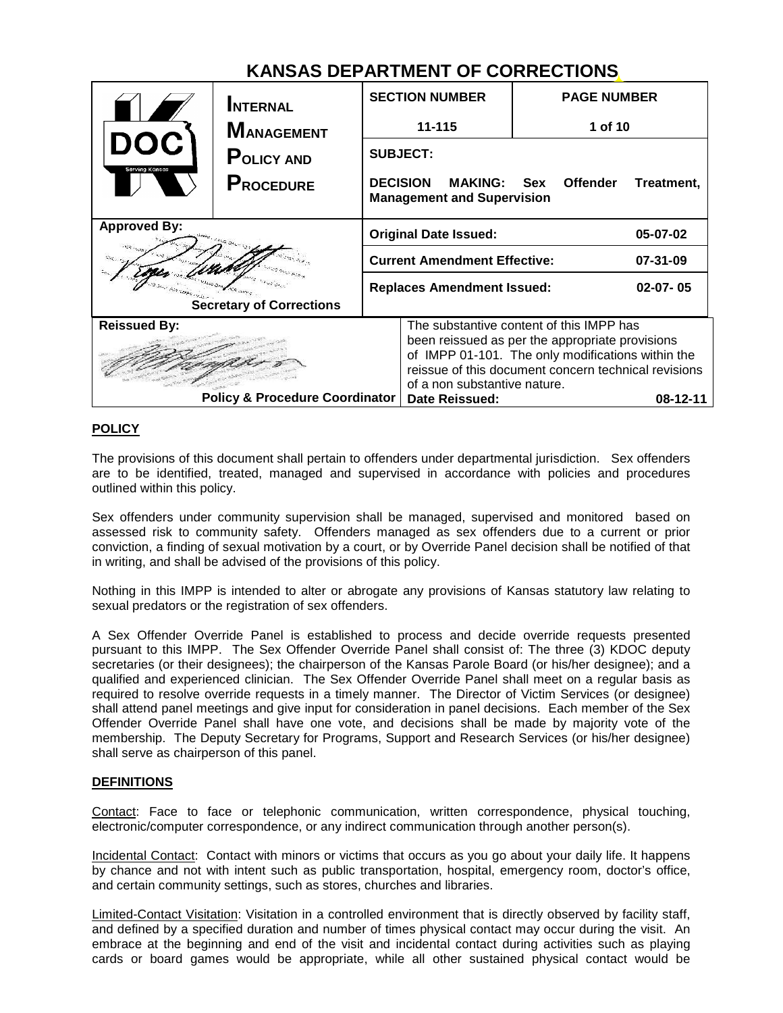## **KANSAS DEPARTMENT OF CORRECTIONS**

|                                                        | <b>INTERNAL</b><br><b>MANAGEMENT</b><br><b>POLICY AND</b><br><b>PROCEDURE</b> |                                                                                                                                                                                                                                          | <b>SECTION NUMBER</b><br>11-115                                                     | <b>PAGE NUMBER</b><br>1 of 10 |            |
|--------------------------------------------------------|-------------------------------------------------------------------------------|------------------------------------------------------------------------------------------------------------------------------------------------------------------------------------------------------------------------------------------|-------------------------------------------------------------------------------------|-------------------------------|------------|
| DOC<br>Serving Kansas                                  |                                                                               |                                                                                                                                                                                                                                          | <b>SUBJECT:</b><br><b>DECISION MAKING: Sex</b><br><b>Management and Supervision</b> | <b>Offender</b>               | Treatment, |
| <b>Approved By:</b><br><b>Secretary of Corrections</b> |                                                                               | <b>Original Date Issued:</b>                                                                                                                                                                                                             |                                                                                     | 05-07-02                      |            |
|                                                        |                                                                               | <b>Current Amendment Effective:</b>                                                                                                                                                                                                      |                                                                                     | 07-31-09                      |            |
|                                                        |                                                                               |                                                                                                                                                                                                                                          | <b>Replaces Amendment Issued:</b>                                                   |                               | $02-07-05$ |
| <b>Reissued By:</b>                                    |                                                                               | The substantive content of this IMPP has<br>been reissued as per the appropriate provisions<br>of IMPP 01-101. The only modifications within the<br>reissue of this document concern technical revisions<br>of a non substantive nature. |                                                                                     |                               |            |
| <b>Policy &amp; Procedure Coordinator</b>              |                                                                               | Date Reissued:                                                                                                                                                                                                                           |                                                                                     | $08 - 12 - 11$                |            |

### **POLICY**

The provisions of this document shall pertain to offenders under departmental jurisdiction. Sex offenders are to be identified, treated, managed and supervised in accordance with policies and procedures outlined within this policy.

Sex offenders under community supervision shall be managed, supervised and monitored based on assessed risk to community safety. Offenders managed as sex offenders due to a current or prior conviction, a finding of sexual motivation by a court, or by Override Panel decision shall be notified of that in writing, and shall be advised of the provisions of this policy.

Nothing in this IMPP is intended to alter or abrogate any provisions of Kansas statutory law relating to sexual predators or the registration of sex offenders.

A Sex Offender Override Panel is established to process and decide override requests presented pursuant to this IMPP. The Sex Offender Override Panel shall consist of: The three (3) KDOC deputy secretaries (or their designees); the chairperson of the Kansas Parole Board (or his/her designee); and a qualified and experienced clinician. The Sex Offender Override Panel shall meet on a regular basis as required to resolve override requests in a timely manner. The Director of Victim Services (or designee) shall attend panel meetings and give input for consideration in panel decisions. Each member of the Sex Offender Override Panel shall have one vote, and decisions shall be made by majority vote of the membership. The Deputy Secretary for Programs, Support and Research Services (or his/her designee) shall serve as chairperson of this panel.

#### **DEFINITIONS**

Contact: Face to face or telephonic communication, written correspondence, physical touching, electronic/computer correspondence, or any indirect communication through another person(s).

Incidental Contact: Contact with minors or victims that occurs as you go about your daily life. It happens by chance and not with intent such as public transportation, hospital, emergency room, doctor's office, and certain community settings, such as stores, churches and libraries.

Limited-Contact Visitation: Visitation in a controlled environment that is directly observed by facility staff, and defined by a specified duration and number of times physical contact may occur during the visit. An embrace at the beginning and end of the visit and incidental contact during activities such as playing cards or board games would be appropriate, while all other sustained physical contact would be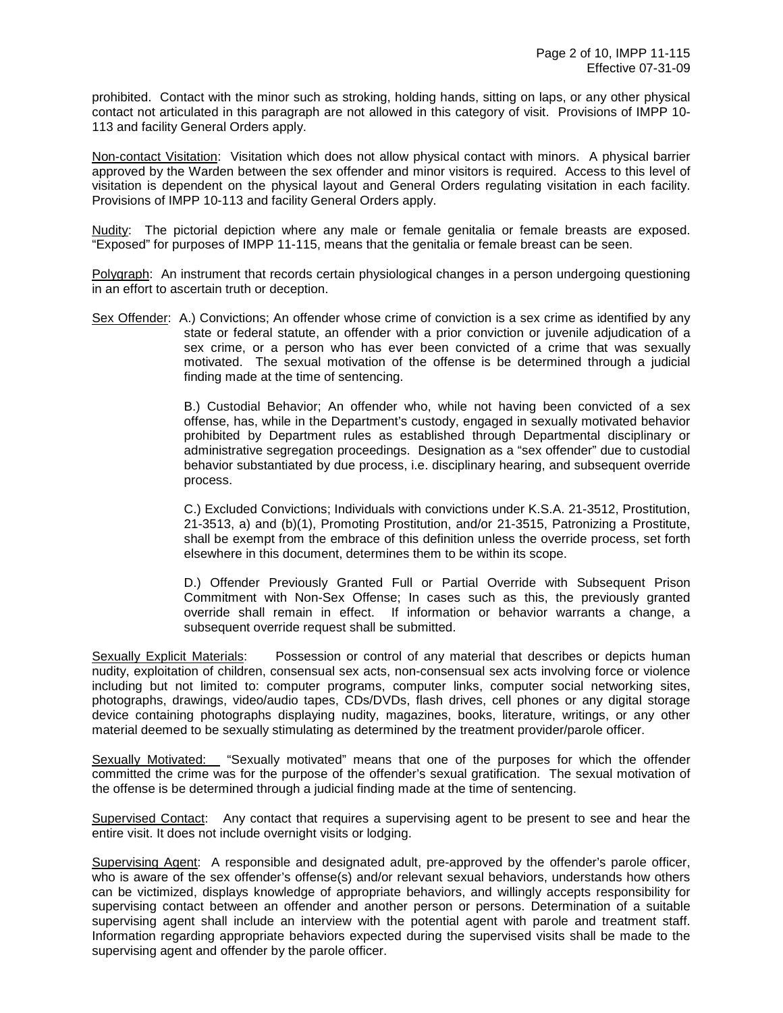prohibited. Contact with the minor such as stroking, holding hands, sitting on laps, or any other physical contact not articulated in this paragraph are not allowed in this category of visit. Provisions of IMPP 10- 113 and facility General Orders apply.

Non-contact Visitation: Visitation which does not allow physical contact with minors. A physical barrier approved by the Warden between the sex offender and minor visitors is required. Access to this level of visitation is dependent on the physical layout and General Orders regulating visitation in each facility. Provisions of IMPP 10-113 and facility General Orders apply.

Nudity: The pictorial depiction where any male or female genitalia or female breasts are exposed. "Exposed" for purposes of IMPP 11-115, means that the genitalia or female breast can be seen.

Polygraph: An instrument that records certain physiological changes in a person undergoing questioning in an effort to ascertain truth or deception.

Sex Offender: A.) Convictions; An offender whose crime of conviction is a sex crime as identified by any state or federal statute, an offender with a prior conviction or juvenile adjudication of a sex crime, or a person who has ever been convicted of a crime that was sexually motivated. The sexual motivation of the offense is be determined through a judicial finding made at the time of sentencing.

> B.) Custodial Behavior; An offender who, while not having been convicted of a sex offense, has, while in the Department's custody, engaged in sexually motivated behavior prohibited by Department rules as established through Departmental disciplinary or administrative segregation proceedings. Designation as a "sex offender" due to custodial behavior substantiated by due process, i.e. disciplinary hearing, and subsequent override process.

> C.) Excluded Convictions; Individuals with convictions under K.S.A. 21-3512, Prostitution, 21-3513, a) and (b)(1), Promoting Prostitution, and/or 21-3515, Patronizing a Prostitute, shall be exempt from the embrace of this definition unless the override process, set forth elsewhere in this document, determines them to be within its scope.

> D.) Offender Previously Granted Full or Partial Override with Subsequent Prison Commitment with Non-Sex Offense; In cases such as this, the previously granted override shall remain in effect. If information or behavior warrants a change, a subsequent override request shall be submitted.

Sexually Explicit Materials: Possession or control of any material that describes or depicts human nudity, exploitation of children, consensual sex acts, non-consensual sex acts involving force or violence including but not limited to: computer programs, computer links, computer social networking sites, photographs, drawings, video/audio tapes, CDs/DVDs, flash drives, cell phones or any digital storage device containing photographs displaying nudity, magazines, books, literature, writings, or any other material deemed to be sexually stimulating as determined by the treatment provider/parole officer.

Sexually Motivated: "Sexually motivated" means that one of the purposes for which the offender committed the crime was for the purpose of the offender's sexual gratification. The sexual motivation of the offense is be determined through a judicial finding made at the time of sentencing.

Supervised Contact: Any contact that requires a supervising agent to be present to see and hear the entire visit. It does not include overnight visits or lodging.

Supervising Agent: A responsible and designated adult, pre-approved by the offender's parole officer, who is aware of the sex offender's offense(s) and/or relevant sexual behaviors, understands how others can be victimized, displays knowledge of appropriate behaviors, and willingly accepts responsibility for supervising contact between an offender and another person or persons. Determination of a suitable supervising agent shall include an interview with the potential agent with parole and treatment staff. Information regarding appropriate behaviors expected during the supervised visits shall be made to the supervising agent and offender by the parole officer.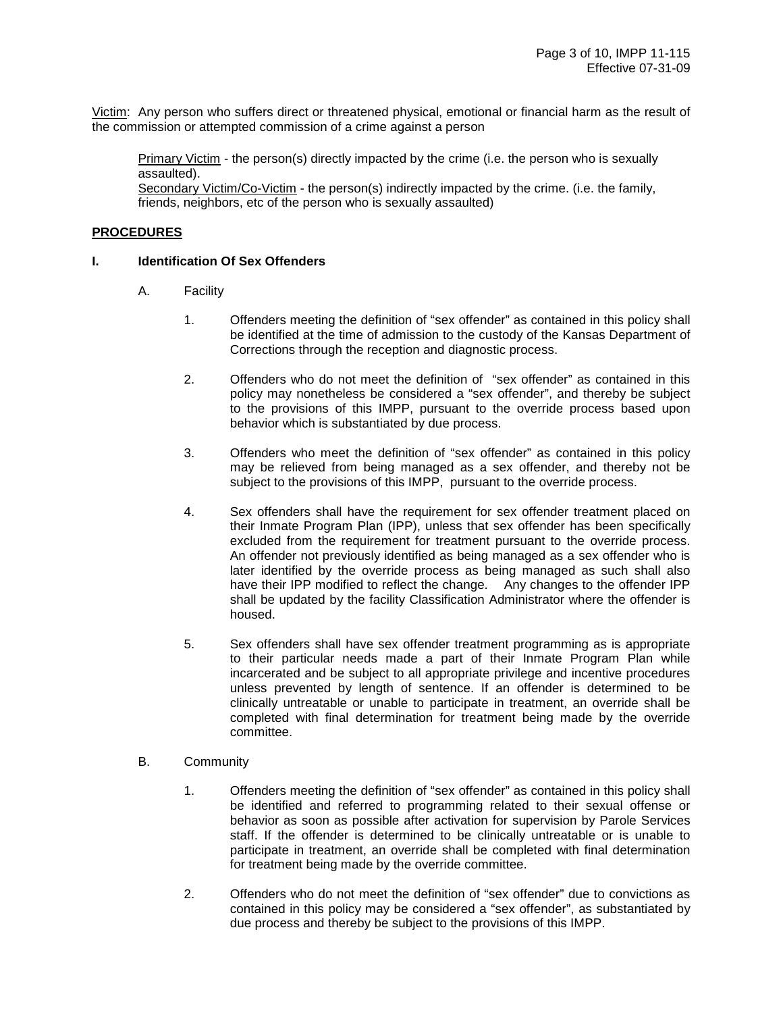Victim: Any person who suffers direct or threatened physical, emotional or financial harm as the result of the commission or attempted commission of a crime against a person

Primary Victim - the person(s) directly impacted by the crime (i.e. the person who is sexually assaulted).

Secondary Victim/Co-Victim - the person(s) indirectly impacted by the crime. (i.e. the family, friends, neighbors, etc of the person who is sexually assaulted)

#### **PROCEDURES**

#### **I. Identification Of Sex Offenders**

- A. Facility
	- 1. Offenders meeting the definition of "sex offender" as contained in this policy shall be identified at the time of admission to the custody of the Kansas Department of Corrections through the reception and diagnostic process.
	- 2. Offenders who do not meet the definition of "sex offender" as contained in this policy may nonetheless be considered a "sex offender", and thereby be subject to the provisions of this IMPP, pursuant to the override process based upon behavior which is substantiated by due process.
	- 3. Offenders who meet the definition of "sex offender" as contained in this policy may be relieved from being managed as a sex offender, and thereby not be subject to the provisions of this IMPP, pursuant to the override process.
	- 4. Sex offenders shall have the requirement for sex offender treatment placed on their Inmate Program Plan (IPP), unless that sex offender has been specifically excluded from the requirement for treatment pursuant to the override process. An offender not previously identified as being managed as a sex offender who is later identified by the override process as being managed as such shall also have their IPP modified to reflect the change. Any changes to the offender IPP shall be updated by the facility Classification Administrator where the offender is housed.
	- 5. Sex offenders shall have sex offender treatment programming as is appropriate to their particular needs made a part of their Inmate Program Plan while incarcerated and be subject to all appropriate privilege and incentive procedures unless prevented by length of sentence. If an offender is determined to be clinically untreatable or unable to participate in treatment, an override shall be completed with final determination for treatment being made by the override committee.
- B. Community
	- 1. Offenders meeting the definition of "sex offender" as contained in this policy shall be identified and referred to programming related to their sexual offense or behavior as soon as possible after activation for supervision by Parole Services staff. If the offender is determined to be clinically untreatable or is unable to participate in treatment, an override shall be completed with final determination for treatment being made by the override committee.
	- 2. Offenders who do not meet the definition of "sex offender" due to convictions as contained in this policy may be considered a "sex offender", as substantiated by due process and thereby be subject to the provisions of this IMPP.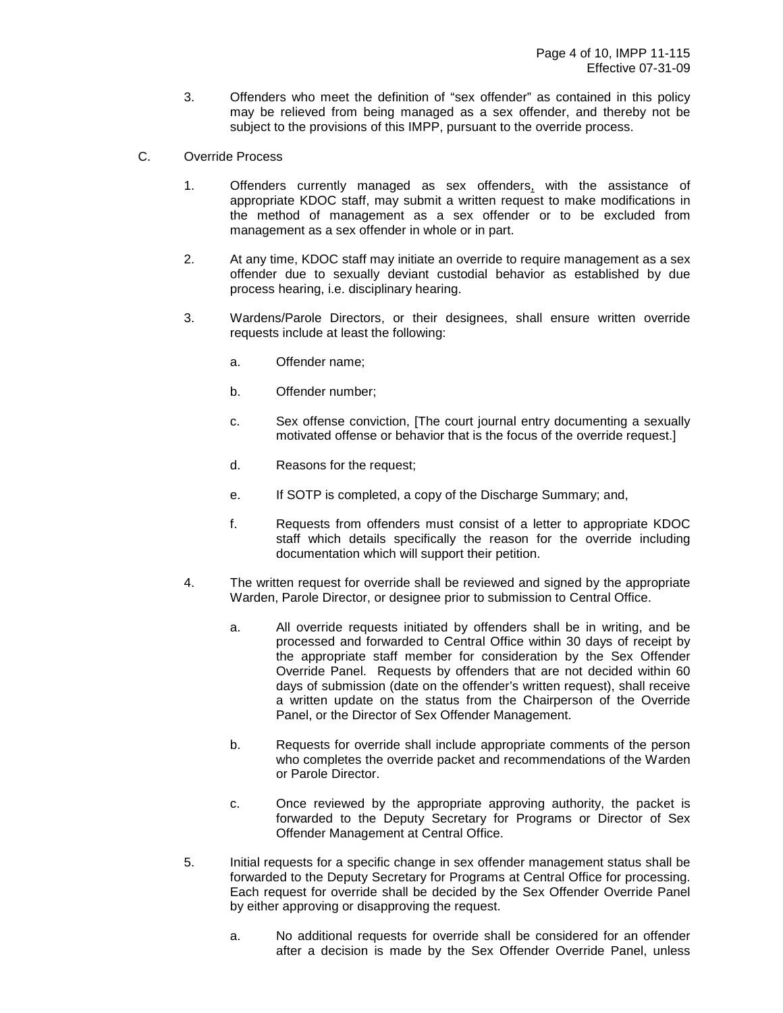- 3. Offenders who meet the definition of "sex offender" as contained in this policy may be relieved from being managed as a sex offender, and thereby not be subject to the provisions of this IMPP, pursuant to the override process.
- C. Override Process
	- 1. Offenders currently managed as sex offenders, with the assistance of appropriate KDOC staff, may submit a written request to make modifications in the method of management as a sex offender or to be excluded from management as a sex offender in whole or in part.
	- 2. At any time, KDOC staff may initiate an override to require management as a sex offender due to sexually deviant custodial behavior as established by due process hearing, i.e. disciplinary hearing.
	- 3. Wardens/Parole Directors, or their designees, shall ensure written override requests include at least the following:
		- a. Offender name;
		- b. Offender number;
		- c. Sex offense conviction, [The court journal entry documenting a sexually motivated offense or behavior that is the focus of the override request.]
		- d. Reasons for the request;
		- e. If SOTP is completed, a copy of the Discharge Summary; and,
		- f. Requests from offenders must consist of a letter to appropriate KDOC staff which details specifically the reason for the override including documentation which will support their petition.
	- 4. The written request for override shall be reviewed and signed by the appropriate Warden, Parole Director, or designee prior to submission to Central Office.
		- a. All override requests initiated by offenders shall be in writing, and be processed and forwarded to Central Office within 30 days of receipt by the appropriate staff member for consideration by the Sex Offender Override Panel. Requests by offenders that are not decided within 60 days of submission (date on the offender's written request), shall receive a written update on the status from the Chairperson of the Override Panel, or the Director of Sex Offender Management.
		- b. Requests for override shall include appropriate comments of the person who completes the override packet and recommendations of the Warden or Parole Director.
		- c. Once reviewed by the appropriate approving authority, the packet is forwarded to the Deputy Secretary for Programs or Director of Sex Offender Management at Central Office.
	- 5. Initial requests for a specific change in sex offender management status shall be forwarded to the Deputy Secretary for Programs at Central Office for processing. Each request for override shall be decided by the Sex Offender Override Panel by either approving or disapproving the request.
		- a. No additional requests for override shall be considered for an offender after a decision is made by the Sex Offender Override Panel, unless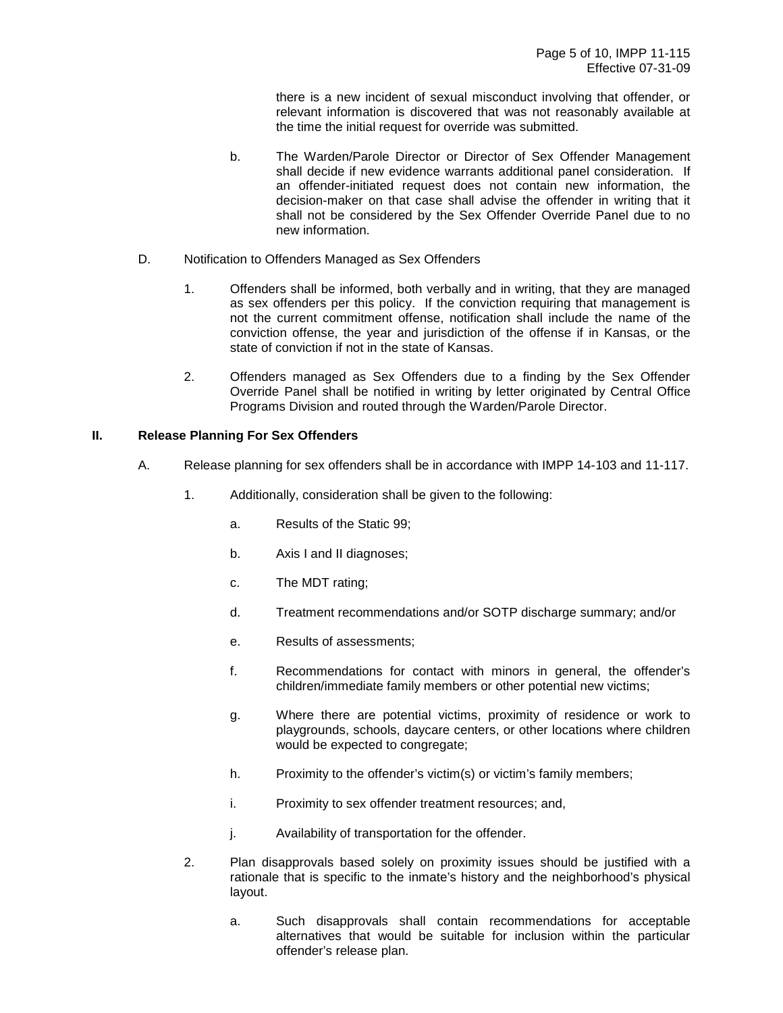there is a new incident of sexual misconduct involving that offender, or relevant information is discovered that was not reasonably available at the time the initial request for override was submitted.

- b. The Warden/Parole Director or Director of Sex Offender Management shall decide if new evidence warrants additional panel consideration. If an offender-initiated request does not contain new information, the decision-maker on that case shall advise the offender in writing that it shall not be considered by the Sex Offender Override Panel due to no new information.
- D. Notification to Offenders Managed as Sex Offenders
	- 1. Offenders shall be informed, both verbally and in writing, that they are managed as sex offenders per this policy. If the conviction requiring that management is not the current commitment offense, notification shall include the name of the conviction offense, the year and jurisdiction of the offense if in Kansas, or the state of conviction if not in the state of Kansas.
	- 2. Offenders managed as Sex Offenders due to a finding by the Sex Offender Override Panel shall be notified in writing by letter originated by Central Office Programs Division and routed through the Warden/Parole Director.

#### **II. Release Planning For Sex Offenders**

- A. Release planning for sex offenders shall be in accordance with IMPP 14-103 and 11-117.
	- 1. Additionally, consideration shall be given to the following:
		- a. Results of the Static 99;
		- b. Axis I and II diagnoses;
		- c. The MDT rating;
		- d. Treatment recommendations and/or SOTP discharge summary; and/or
		- e. Results of assessments;
		- f. Recommendations for contact with minors in general, the offender's children/immediate family members or other potential new victims;
		- g. Where there are potential victims, proximity of residence or work to playgrounds, schools, daycare centers, or other locations where children would be expected to congregate;
		- h. Proximity to the offender's victim(s) or victim's family members;
		- i. Proximity to sex offender treatment resources; and,
		- j. Availability of transportation for the offender.
	- 2. Plan disapprovals based solely on proximity issues should be justified with a rationale that is specific to the inmate's history and the neighborhood's physical layout.
		- a. Such disapprovals shall contain recommendations for acceptable alternatives that would be suitable for inclusion within the particular offender's release plan.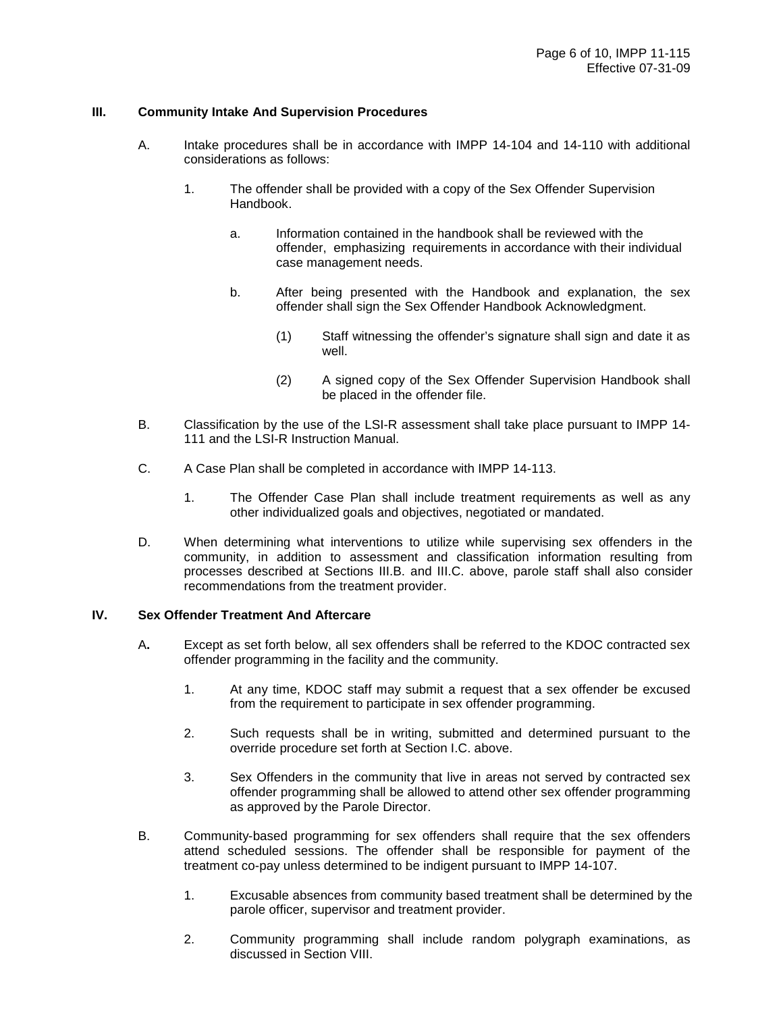#### **III. Community Intake And Supervision Procedures**

- A. Intake procedures shall be in accordance with IMPP 14-104 and 14-110 with additional considerations as follows:
	- 1. The offender shall be provided with a copy of the Sex Offender Supervision Handbook.
		- a. Information contained in the handbook shall be reviewed with the offender, emphasizing requirements in accordance with their individual case management needs.
		- b. After being presented with the Handbook and explanation, the sex offender shall sign the Sex Offender Handbook Acknowledgment.
			- (1) Staff witnessing the offender's signature shall sign and date it as well.
			- (2) A signed copy of the Sex Offender Supervision Handbook shall be placed in the offender file.
- B. Classification by the use of the LSI-R assessment shall take place pursuant to IMPP 14- 111 and the LSI-R Instruction Manual.
- C. A Case Plan shall be completed in accordance with IMPP 14-113.
	- 1. The Offender Case Plan shall include treatment requirements as well as any other individualized goals and objectives, negotiated or mandated.
- D. When determining what interventions to utilize while supervising sex offenders in the community, in addition to assessment and classification information resulting from processes described at Sections III.B. and III.C. above, parole staff shall also consider recommendations from the treatment provider.

#### **IV. Sex Offender Treatment And Aftercare**

- A**.** Except as set forth below, all sex offenders shall be referred to the KDOC contracted sex offender programming in the facility and the community.
	- 1. At any time, KDOC staff may submit a request that a sex offender be excused from the requirement to participate in sex offender programming.
	- 2. Such requests shall be in writing, submitted and determined pursuant to the override procedure set forth at Section I.C. above.
	- 3. Sex Offenders in the community that live in areas not served by contracted sex offender programming shall be allowed to attend other sex offender programming as approved by the Parole Director.
- B.Community-based programming for sex offenders shall require that the sex offenders attend scheduled sessions. The offender shall be responsible for payment of the treatment co-pay unless determined to be indigent pursuant to IMPP 14-107.
	- 1. Excusable absences from community based treatment shall be determined by the parole officer, supervisor and treatment provider.
	- 2. Community programming shall include random polygraph examinations, as discussed in Section VIII.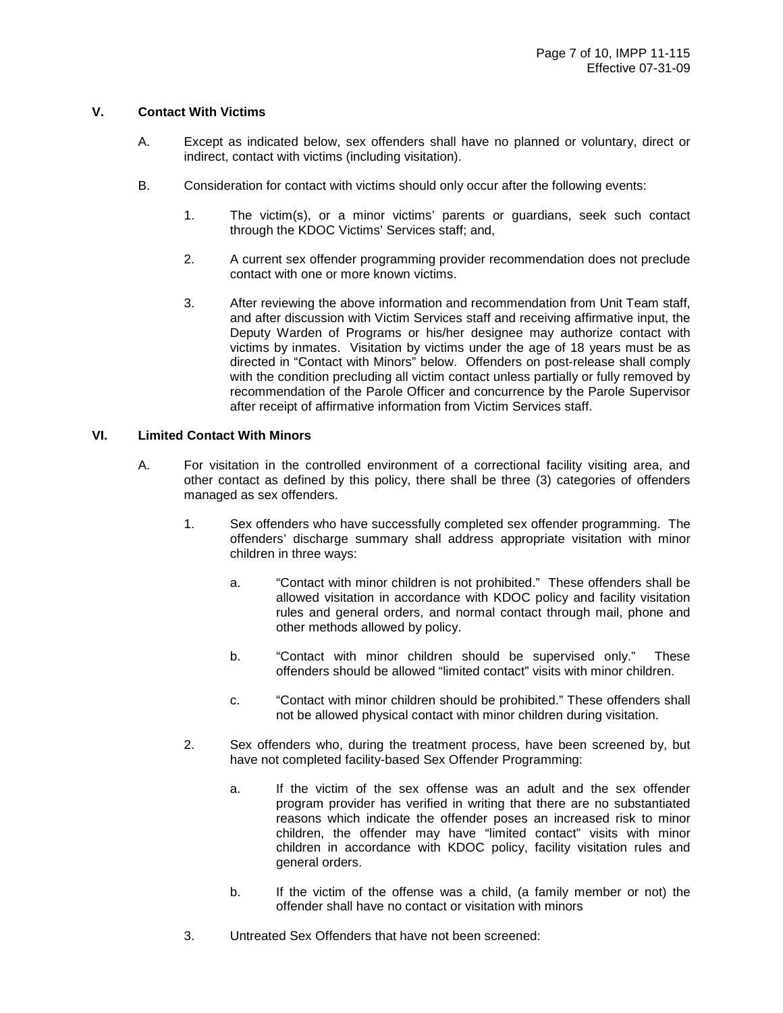#### **V. Contact With Victims**

- A. Except as indicated below, sex offenders shall have no planned or voluntary, direct or indirect, contact with victims (including visitation).
- B. Consideration for contact with victims should only occur after the following events:
	- 1. The victim(s), or a minor victims' parents or guardians, seek such contact through the KDOC Victims' Services staff; and,
	- 2. A current sex offender programming provider recommendation does not preclude contact with one or more known victims.
	- 3. After reviewing the above information and recommendation from Unit Team staff, and after discussion with Victim Services staff and receiving affirmative input, the Deputy Warden of Programs or his/her designee may authorize contact with victims by inmates. Visitation by victims under the age of 18 years must be as directed in "Contact with Minors" below. Offenders on post-release shall comply with the condition precluding all victim contact unless partially or fully removed by recommendation of the Parole Officer and concurrence by the Parole Supervisor after receipt of affirmative information from Victim Services staff.

#### **VI. Limited Contact With Minors**

- A.For visitation in the controlled environment of a correctional facility visiting area, and other contact as defined by this policy, there shall be three (3) categories of offenders managed as sex offenders.
	- 1. Sex offenders who have successfully completed sex offender programming. The offenders' discharge summary shall address appropriate visitation with minor children in three ways:
		- a. "Contact with minor children is not prohibited." These offenders shall be allowed visitation in accordance with KDOC policy and facility visitation rules and general orders, and normal contact through mail, phone and other methods allowed by policy.
		- b. "Contact with minor children should be supervised only." These offenders should be allowed "limited contact" visits with minor children.
		- c. "Contact with minor children should be prohibited." These offenders shall not be allowed physical contact with minor children during visitation.
	- 2. Sex offenders who, during the treatment process, have been screened by, but have not completed facility-based Sex Offender Programming:
		- a. If the victim of the sex offense was an adult and the sex offender program provider has verified in writing that there are no substantiated reasons which indicate the offender poses an increased risk to minor children, the offender may have "limited contact" visits with minor children in accordance with KDOC policy, facility visitation rules and general orders.
		- b. If the victim of the offense was a child, (a family member or not) the offender shall have no contact or visitation with minors
	- 3. Untreated Sex Offenders that have not been screened: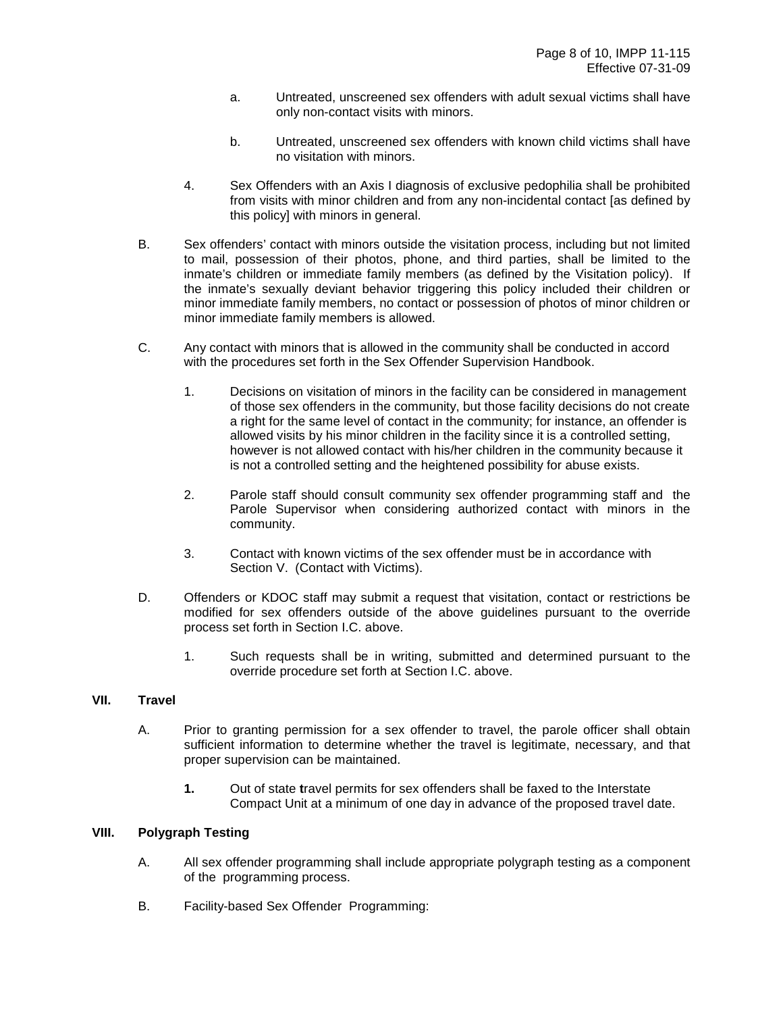- a. Untreated, unscreened sex offenders with adult sexual victims shall have only non-contact visits with minors.
- b. Untreated, unscreened sex offenders with known child victims shall have no visitation with minors.
- 4. Sex Offenders with an Axis I diagnosis of exclusive pedophilia shall be prohibited from visits with minor children and from any non-incidental contact [as defined by this policy] with minors in general.
- B. Sex offenders' contact with minors outside the visitation process, including but not limited to mail, possession of their photos, phone, and third parties, shall be limited to the inmate's children or immediate family members (as defined by the Visitation policy). If the inmate's sexually deviant behavior triggering this policy included their children or minor immediate family members, no contact or possession of photos of minor children or minor immediate family members is allowed.
- C. Any contact with minors that is allowed in the community shall be conducted in accord with the procedures set forth in the Sex Offender Supervision Handbook.
	- 1. Decisions on visitation of minors in the facility can be considered in management of those sex offenders in the community, but those facility decisions do not create a right for the same level of contact in the community; for instance, an offender is allowed visits by his minor children in the facility since it is a controlled setting, however is not allowed contact with his/her children in the community because it is not a controlled setting and the heightened possibility for abuse exists.
	- 2. Parole staff should consult community sex offender programming staff and the Parole Supervisor when considering authorized contact with minors in the community.
	- 3. Contact with known victims of the sex offender must be in accordance with Section V. (Contact with Victims).
- D. Offenders or KDOC staff may submit a request that visitation, contact or restrictions be modified for sex offenders outside of the above guidelines pursuant to the override process set forth in Section I.C. above.
	- 1. Such requests shall be in writing, submitted and determined pursuant to the override procedure set forth at Section I.C. above.

#### **VII. Travel**

- A. Prior to granting permission for a sex offender to travel, the parole officer shall obtain sufficient information to determine whether the travel is legitimate, necessary, and that proper supervision can be maintained.
	- **1.** Out of state **t**ravel permits for sex offenders shall be faxed to the Interstate Compact Unit at a minimum of one day in advance of the proposed travel date.

#### **VIII. Polygraph Testing**

- A. All sex offender programming shall include appropriate polygraph testing as a component of the programming process.
- B. Facility-based Sex Offender Programming: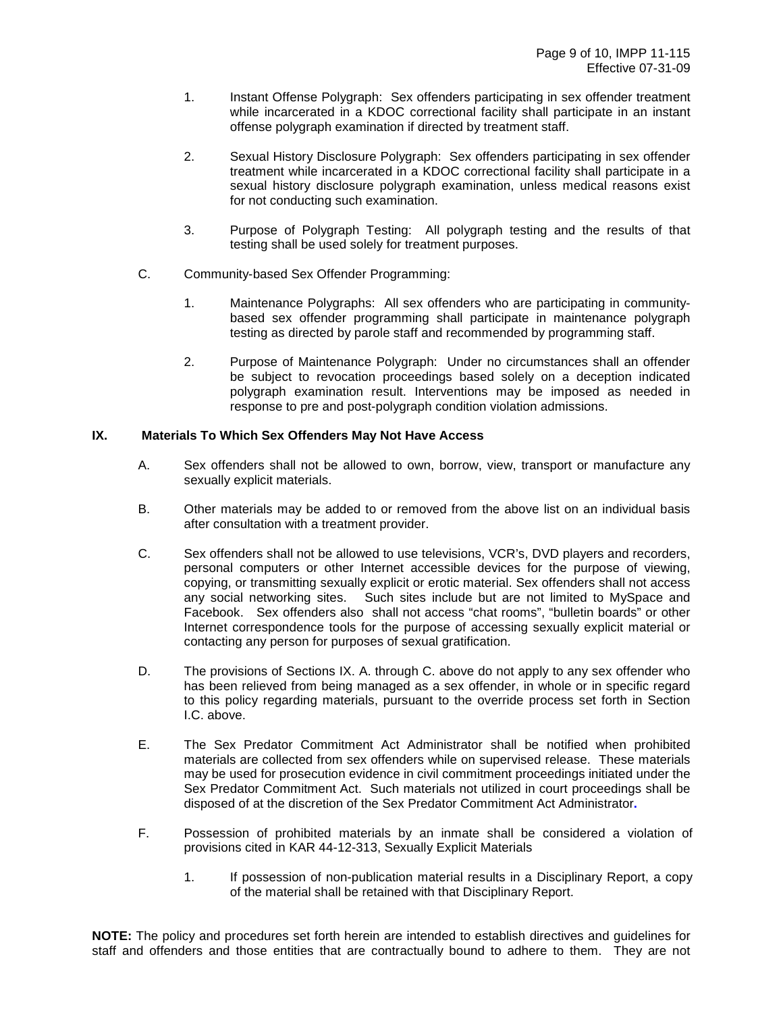- 1. Instant Offense Polygraph: Sex offenders participating in sex offender treatment while incarcerated in a KDOC correctional facility shall participate in an instant offense polygraph examination if directed by treatment staff.
- 2. Sexual History Disclosure Polygraph: Sex offenders participating in sex offender treatment while incarcerated in a KDOC correctional facility shall participate in a sexual history disclosure polygraph examination, unless medical reasons exist for not conducting such examination.
- 3. Purpose of Polygraph Testing: All polygraph testing and the results of that testing shall be used solely for treatment purposes.
- C. Community-based Sex Offender Programming:
	- 1. Maintenance Polygraphs: All sex offenders who are participating in communitybased sex offender programming shall participate in maintenance polygraph testing as directed by parole staff and recommended by programming staff.
	- 2. Purpose of Maintenance Polygraph: Under no circumstances shall an offender be subject to revocation proceedings based solely on a deception indicated polygraph examination result. Interventions may be imposed as needed in response to pre and post-polygraph condition violation admissions.

#### **IX. Materials To Which Sex Offenders May Not Have Access**

- A. Sex offenders shall not be allowed to own, borrow, view, transport or manufacture any sexually explicit materials.
- B. Other materials may be added to or removed from the above list on an individual basis after consultation with a treatment provider.
- C. Sex offenders shall not be allowed to use televisions, VCR's, DVD players and recorders, personal computers or other Internet accessible devices for the purpose of viewing, copying, or transmitting sexually explicit or erotic material. Sex offenders shall not access any social networking sites. Such sites include but are not limited to MySpace and Facebook. Sex offenders also shall not access "chat rooms", "bulletin boards" or other Internet correspondence tools for the purpose of accessing sexually explicit material or contacting any person for purposes of sexual gratification.
- D. The provisions of Sections IX. A. through C. above do not apply to any sex offender who has been relieved from being managed as a sex offender, in whole or in specific regard to this policy regarding materials, pursuant to the override process set forth in Section I.C. above.
- E. The Sex Predator Commitment Act Administrator shall be notified when prohibited materials are collected from sex offenders while on supervised release. These materials may be used for prosecution evidence in civil commitment proceedings initiated under the Sex Predator Commitment Act. Such materials not utilized in court proceedings shall be disposed of at the discretion of the Sex Predator Commitment Act Administrator**.**
- F. Possession of prohibited materials by an inmate shall be considered a violation of provisions cited in KAR 44-12-313, Sexually Explicit Materials
	- 1. If possession of non-publication material results in a Disciplinary Report, a copy of the material shall be retained with that Disciplinary Report.

**NOTE:** The policy and procedures set forth herein are intended to establish directives and guidelines for staff and offenders and those entities that are contractually bound to adhere to them. They are not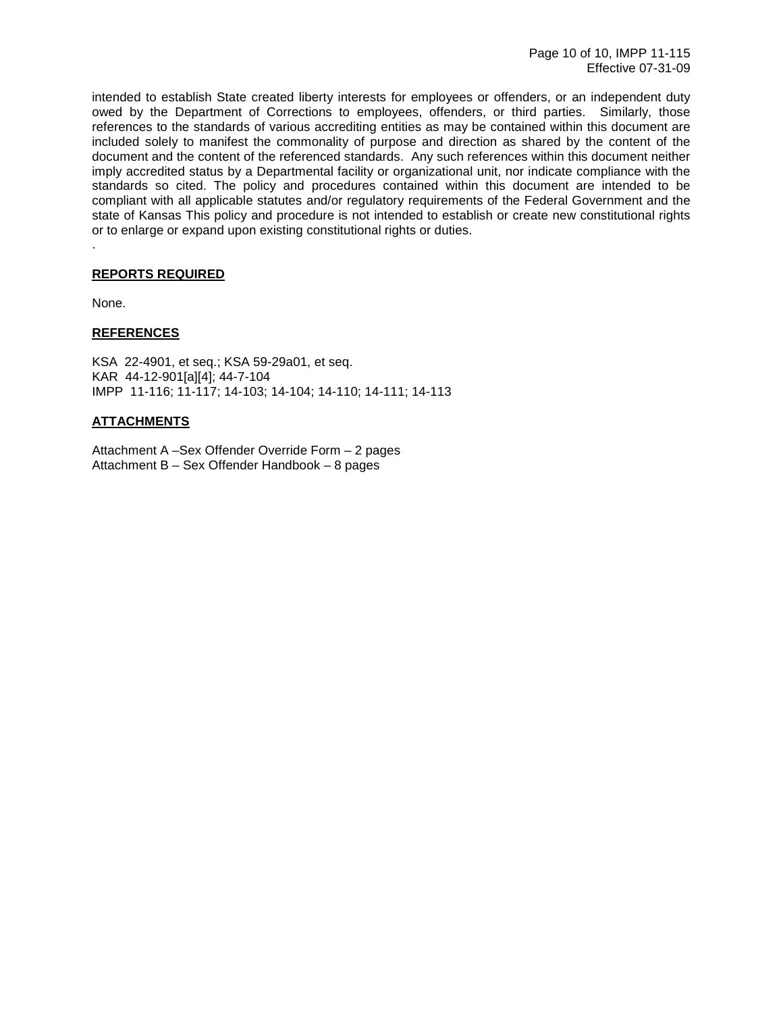intended to establish State created liberty interests for employees or offenders, or an independent duty owed by the Department of Corrections to employees, offenders, or third parties. Similarly, those references to the standards of various accrediting entities as may be contained within this document are included solely to manifest the commonality of purpose and direction as shared by the content of the document and the content of the referenced standards. Any such references within this document neither imply accredited status by a Departmental facility or organizational unit, nor indicate compliance with the standards so cited. The policy and procedures contained within this document are intended to be compliant with all applicable statutes and/or regulatory requirements of the Federal Government and the state of Kansas This policy and procedure is not intended to establish or create new constitutional rights or to enlarge or expand upon existing constitutional rights or duties.

#### **REPORTS REQUIRED**

None.

.

#### **REFERENCES**

KSA 22-4901, et seq.; KSA 59-29a01, et seq. KAR 44-12-901[a][4]; 44-7-104 IMPP 11-116; 11-117; 14-103; 14-104; 14-110; 14-111; 14-113

#### **ATTACHMENTS**

Attachment A –Sex Offender Override Form – 2 pages Attachment B – Sex Offender Handbook – 8 pages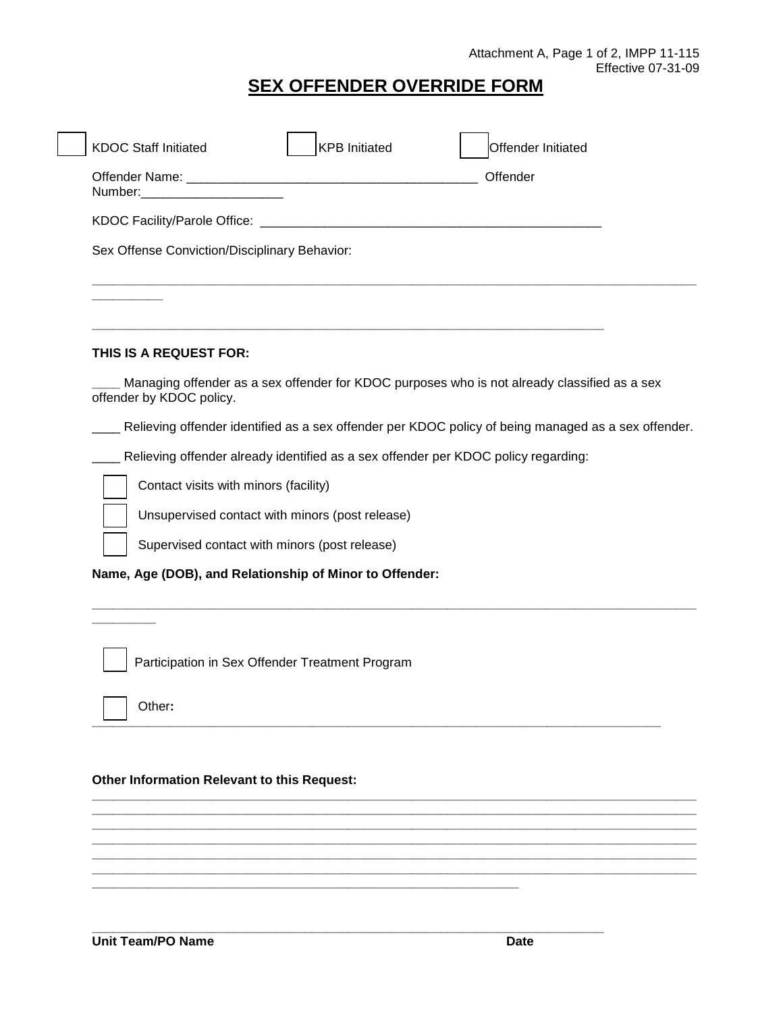# **SEX OFFENDER OVERRIDE FORM**

| Number: | Sex Offense Conviction/Disciplinary Behavior: |                                                         | Offender                                                                                            |  |
|---------|-----------------------------------------------|---------------------------------------------------------|-----------------------------------------------------------------------------------------------------|--|
|         |                                               |                                                         |                                                                                                     |  |
|         |                                               |                                                         |                                                                                                     |  |
|         |                                               |                                                         |                                                                                                     |  |
|         |                                               |                                                         |                                                                                                     |  |
|         |                                               |                                                         |                                                                                                     |  |
|         |                                               |                                                         |                                                                                                     |  |
|         |                                               |                                                         |                                                                                                     |  |
|         | THIS IS A REQUEST FOR:                        |                                                         |                                                                                                     |  |
|         | offender by KDOC policy.                      |                                                         | Managing offender as a sex offender for KDOC purposes who is not already classified as a sex        |  |
|         |                                               |                                                         | Relieving offender identified as a sex offender per KDOC policy of being managed as a sex offender. |  |
|         |                                               |                                                         | Relieving offender already identified as a sex offender per KDOC policy regarding:                  |  |
|         | Contact visits with minors (facility)         |                                                         |                                                                                                     |  |
|         |                                               | Unsupervised contact with minors (post release)         |                                                                                                     |  |
|         |                                               | Supervised contact with minors (post release)           |                                                                                                     |  |
|         |                                               | Name, Age (DOB), and Relationship of Minor to Offender: |                                                                                                     |  |
|         |                                               |                                                         |                                                                                                     |  |
|         |                                               |                                                         |                                                                                                     |  |

**\_\_\_\_\_\_\_\_\_\_\_\_\_\_\_\_\_\_\_\_\_\_\_\_\_\_\_\_\_\_\_\_\_\_\_\_\_\_\_\_\_\_\_\_\_\_\_\_\_\_\_\_\_\_\_\_\_\_\_\_\_\_\_\_\_\_\_\_\_\_\_\_\_\_\_\_\_\_\_\_** 

**\_\_\_\_\_\_\_\_\_\_\_\_\_\_\_\_\_\_\_\_\_\_\_\_\_\_\_\_\_\_\_\_\_\_\_\_\_\_\_\_\_\_\_\_\_\_\_\_\_\_\_\_\_\_\_\_\_\_\_\_** 

**\_\_\_\_\_\_\_\_\_\_\_\_\_\_\_\_\_\_\_\_\_\_\_\_\_\_\_\_\_\_\_\_\_\_\_\_\_\_\_\_\_\_\_\_\_\_\_\_\_\_\_\_\_\_\_\_\_\_\_\_\_\_\_\_\_\_\_\_\_\_\_\_** 

**\_\_\_\_\_\_\_\_\_\_\_\_\_\_\_\_\_\_\_\_\_\_\_\_\_\_\_\_\_\_\_\_\_\_\_\_\_\_\_\_\_\_\_\_\_\_\_\_\_\_\_\_\_\_\_\_\_\_\_\_\_\_\_\_\_\_\_\_\_\_\_\_\_\_\_\_\_\_\_\_\_\_\_\_\_ \_\_\_\_\_\_\_\_\_\_\_\_\_\_\_\_\_\_\_\_\_\_\_\_\_\_\_\_\_\_\_\_\_\_\_\_\_\_\_\_\_\_\_\_\_\_\_\_\_\_\_\_\_\_\_\_\_\_\_\_\_\_\_\_\_\_\_\_\_\_\_\_\_\_\_\_\_\_\_\_\_\_\_\_\_ \_\_\_\_\_\_\_\_\_\_\_\_\_\_\_\_\_\_\_\_\_\_\_\_\_\_\_\_\_\_\_\_\_\_\_\_\_\_\_\_\_\_\_\_\_\_\_\_\_\_\_\_\_\_\_\_\_\_\_\_\_\_\_\_\_\_\_\_\_\_\_\_\_\_\_\_\_\_\_\_\_\_\_\_\_ \_\_\_\_\_\_\_\_\_\_\_\_\_\_\_\_\_\_\_\_\_\_\_\_\_\_\_\_\_\_\_\_\_\_\_\_\_\_\_\_\_\_\_\_\_\_\_\_\_\_\_\_\_\_\_\_\_\_\_\_\_\_\_\_\_\_\_\_\_\_\_\_\_\_\_\_\_\_\_\_\_\_\_\_\_ \_\_\_\_\_\_\_\_\_\_\_\_\_\_\_\_\_\_\_\_\_\_\_\_\_\_\_\_\_\_\_\_\_\_\_\_\_\_\_\_\_\_\_\_\_\_\_\_\_\_\_\_\_\_\_\_\_\_\_\_\_\_\_\_\_\_\_\_\_\_\_\_\_\_\_\_\_\_\_\_\_\_\_\_\_ \_\_\_\_\_\_\_\_\_\_\_\_\_\_\_\_\_\_\_\_\_\_\_\_\_\_\_\_\_\_\_\_\_\_\_\_\_\_\_\_\_\_\_\_\_\_\_\_\_\_\_\_\_\_\_\_\_\_\_\_\_\_\_\_\_\_\_\_\_\_\_\_\_\_\_\_\_\_\_\_\_\_\_\_\_**

Other**:** 

#### **Other Information Relevant to this Request:**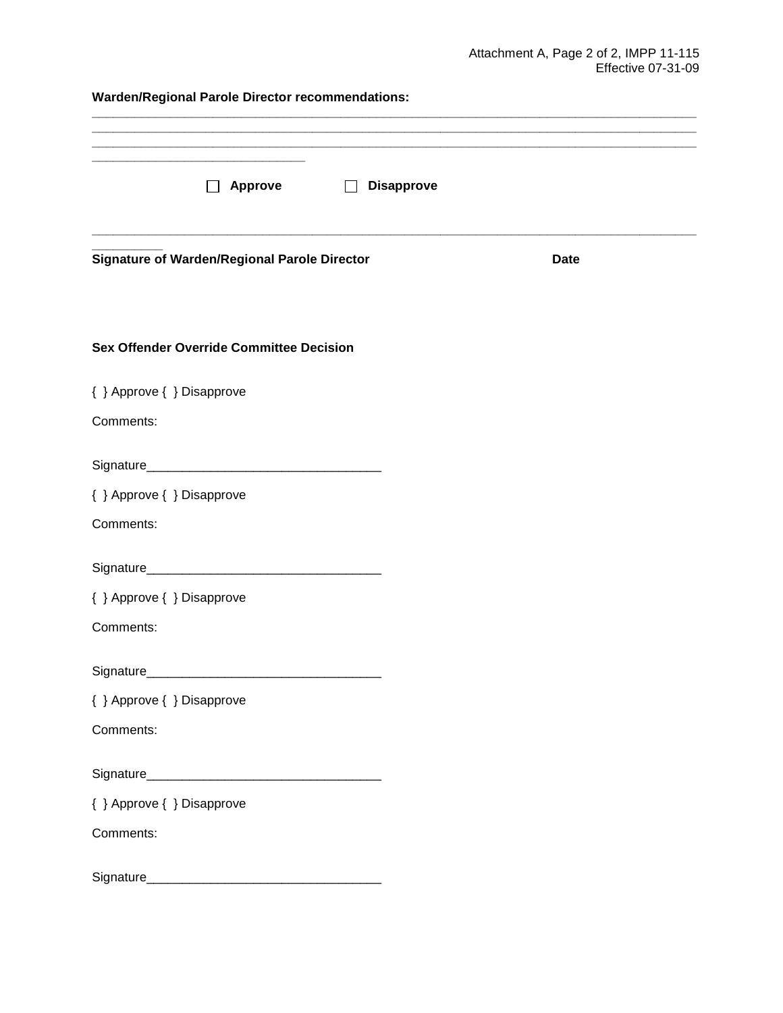**Warden/Regional Parole Director recommendations:** 

| <b>Approve</b><br><b>Disapprove</b>             |             |  |  |  |  |  |
|-------------------------------------------------|-------------|--|--|--|--|--|
| Signature of Warden/Regional Parole Director    | <b>Date</b> |  |  |  |  |  |
| <b>Sex Offender Override Committee Decision</b> |             |  |  |  |  |  |
| { } Approve { } Disapprove                      |             |  |  |  |  |  |
| Comments:                                       |             |  |  |  |  |  |
|                                                 |             |  |  |  |  |  |
| { } Approve { } Disapprove                      |             |  |  |  |  |  |
| Comments:                                       |             |  |  |  |  |  |
|                                                 |             |  |  |  |  |  |
| { } Approve { } Disapprove                      |             |  |  |  |  |  |
| Comments:                                       |             |  |  |  |  |  |
| Signature                                       |             |  |  |  |  |  |
| { } Approve { } Disapprove                      |             |  |  |  |  |  |
| Comments:                                       |             |  |  |  |  |  |
|                                                 |             |  |  |  |  |  |
| { } Approve { } Disapprove                      |             |  |  |  |  |  |
| Comments:                                       |             |  |  |  |  |  |
|                                                 |             |  |  |  |  |  |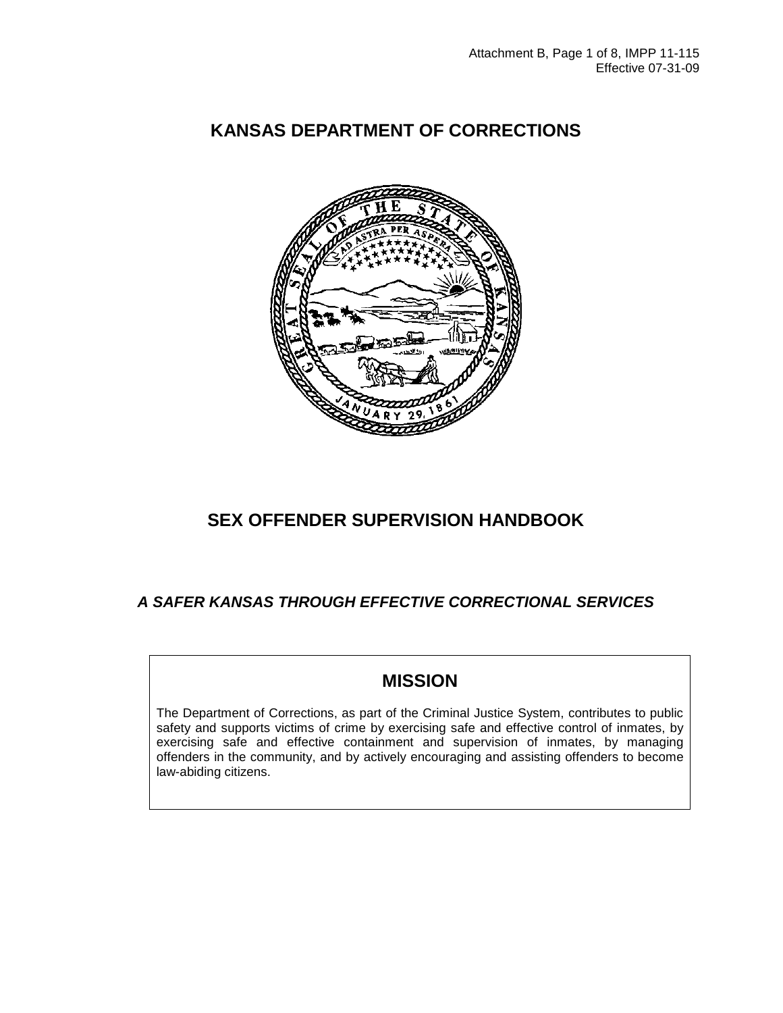

## **KANSAS DEPARTMENT OF CORRECTIONS**

### **SEX OFFENDER SUPERVISION HANDBOOK**

### **A SAFER KANSAS THROUGH EFFECTIVE CORRECTIONAL SERVICES**

### **MISSION**

The Department of Corrections, as part of the Criminal Justice System, contributes to public safety and supports victims of crime by exercising safe and effective control of inmates, by exercising safe and effective containment and supervision of inmates, by managing offenders in the community, and by actively encouraging and assisting offenders to become law-abiding citizens.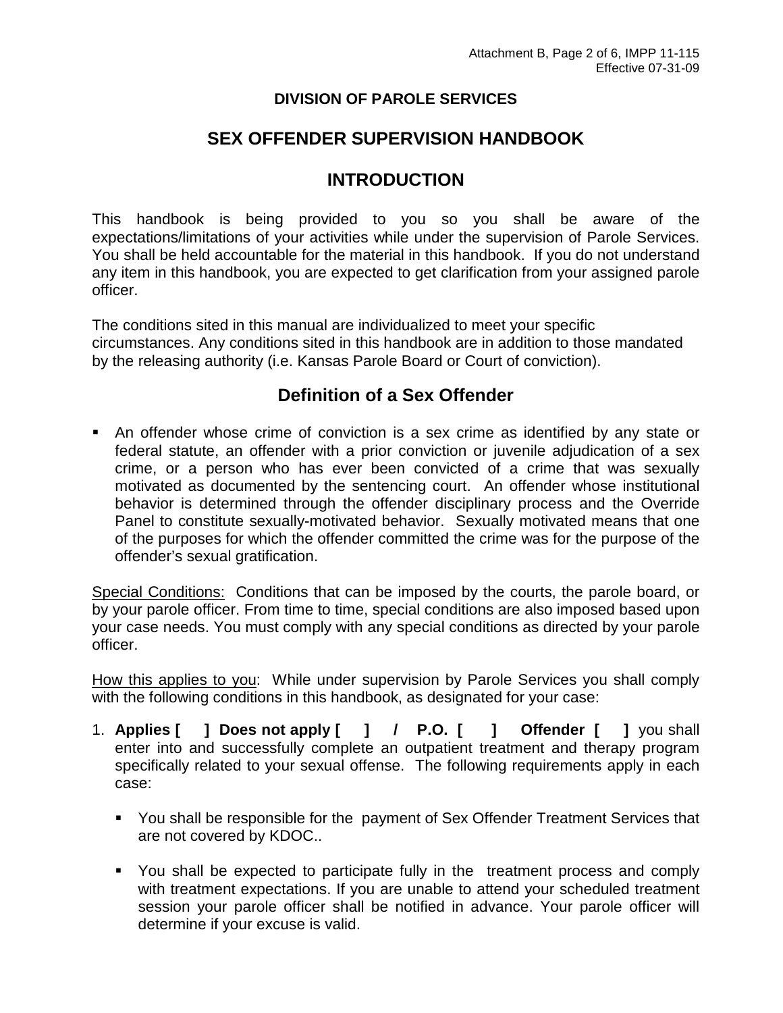### **DIVISION OF PAROLE SERVICES**

### **SEX OFFENDER SUPERVISION HANDBOOK**

### **INTRODUCTION**

This handbook is being provided to you so you shall be aware of the expectations/limitations of your activities while under the supervision of Parole Services. You shall be held accountable for the material in this handbook. If you do not understand any item in this handbook, you are expected to get clarification from your assigned parole officer.

The conditions sited in this manual are individualized to meet your specific circumstances. Any conditions sited in this handbook are in addition to those mandated by the releasing authority (i.e. Kansas Parole Board or Court of conviction).

### **Definition of a Sex Offender**

 An offender whose crime of conviction is a sex crime as identified by any state or federal statute, an offender with a prior conviction or juvenile adjudication of a sex crime, or a person who has ever been convicted of a crime that was sexually motivated as documented by the sentencing court. An offender whose institutional behavior is determined through the offender disciplinary process and the Override Panel to constitute sexually-motivated behavior. Sexually motivated means that one of the purposes for which the offender committed the crime was for the purpose of the offender's sexual gratification.

Special Conditions: Conditions that can be imposed by the courts, the parole board, or by your parole officer. From time to time, special conditions are also imposed based upon your case needs. You must comply with any special conditions as directed by your parole officer.

How this applies to you: While under supervision by Parole Services you shall comply with the following conditions in this handbook, as designated for your case:

- 1. **Applies [ ] Does not apply [ ] / P.O. [ ] Offender [ ]** you shall enter into and successfully complete an outpatient treatment and therapy program specifically related to your sexual offense. The following requirements apply in each case:
	- You shall be responsible for the payment of Sex Offender Treatment Services that are not covered by KDOC..
	- You shall be expected to participate fully in the treatment process and comply with treatment expectations. If you are unable to attend your scheduled treatment session your parole officer shall be notified in advance. Your parole officer will determine if your excuse is valid.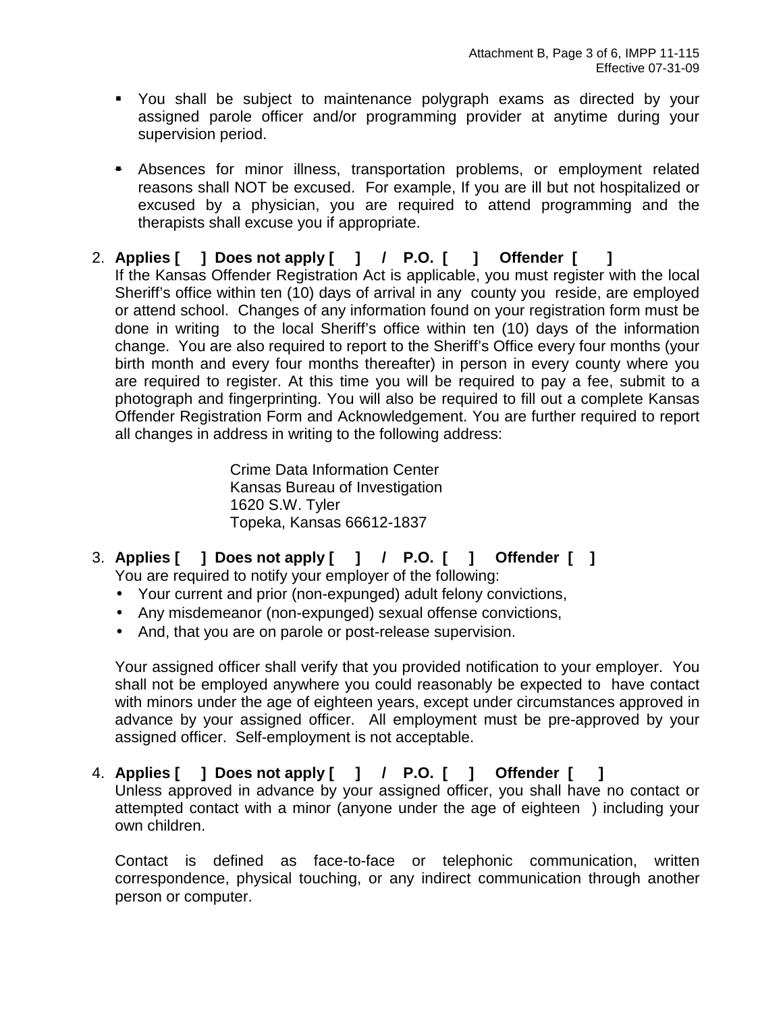- You shall be subject to maintenance polygraph exams as directed by your assigned parole officer and/or programming provider at anytime during your supervision period.
- **Absences for minor illness, transportation problems, or employment related** reasons shall NOT be excused. For example, If you are ill but not hospitalized or excused by a physician, you are required to attend programming and the therapists shall excuse you if appropriate.
- 2. **Applies [ ] Does not apply [ ] / P.O. [ ] Offender [ ]**  If the Kansas Offender Registration Act is applicable, you must register with the local Sheriff's office within ten (10) days of arrival in any county you reside, are employed or attend school. Changes of any information found on your registration form must be done in writing to the local Sheriff's office within ten (10) days of the information change. You are also required to report to the Sheriff's Office every four months (your birth month and every four months thereafter) in person in every county where you are required to register. At this time you will be required to pay a fee, submit to a photograph and fingerprinting. You will also be required to fill out a complete Kansas Offender Registration Form and Acknowledgement. You are further required to report all changes in address in writing to the following address:

Crime Data Information Center Kansas Bureau of Investigation 1620 S.W. Tyler Topeka, Kansas 66612-1837

3. **Applies [ ] Does not apply [ ] / P.O. [ ] Offender [ ]**

You are required to notify your employer of the following:

- Your current and prior (non-expunged) adult felony convictions,
- Any misdemeanor (non-expunged) sexual offense convictions,
- And, that you are on parole or post-release supervision.

Your assigned officer shall verify that you provided notification to your employer. You shall not be employed anywhere you could reasonably be expected to have contact with minors under the age of eighteen years, except under circumstances approved in advance by your assigned officer. All employment must be pre-approved by your assigned officer. Self-employment is not acceptable.

4. **Applies [ ] Does not apply [ ] / P.O. [ ] Offender [ ]** Unless approved in advance by your assigned officer, you shall have no contact or attempted contact with a minor (anyone under the age of eighteen ) including your own children.

Contact is defined as face-to-face or telephonic communication, written correspondence, physical touching, or any indirect communication through another person or computer.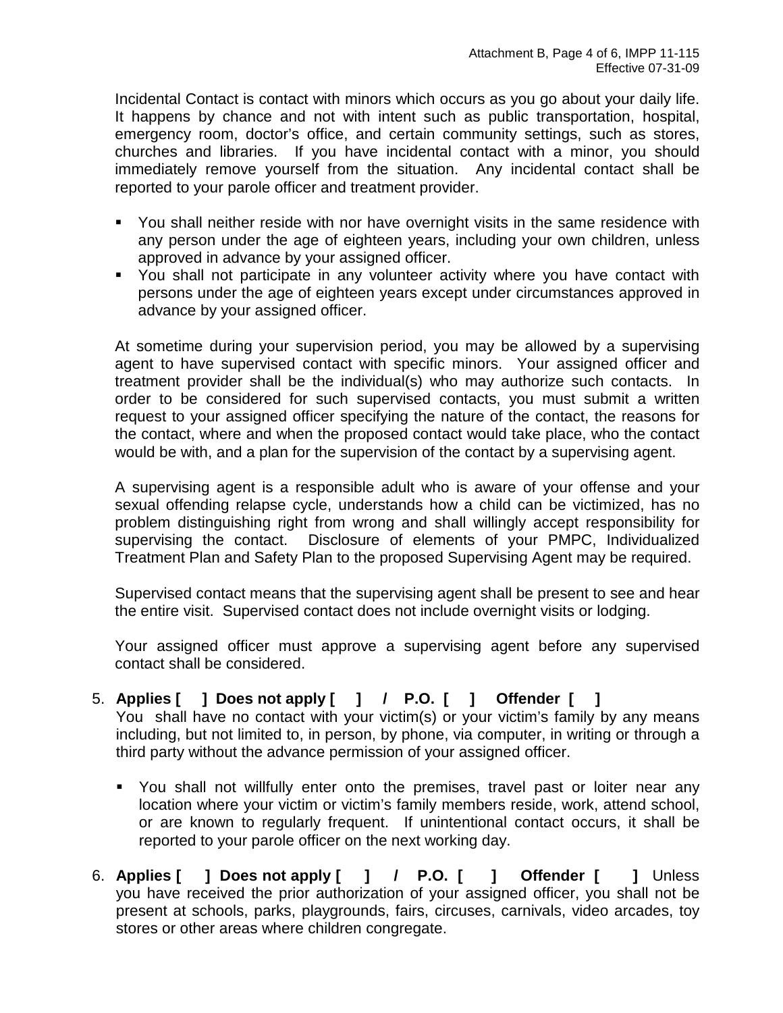Incidental Contact is contact with minors which occurs as you go about your daily life. It happens by chance and not with intent such as public transportation, hospital, emergency room, doctor's office, and certain community settings, such as stores, churches and libraries. If you have incidental contact with a minor, you should immediately remove yourself from the situation. Any incidental contact shall be reported to your parole officer and treatment provider.

- You shall neither reside with nor have overnight visits in the same residence with any person under the age of eighteen years, including your own children, unless approved in advance by your assigned officer.
- You shall not participate in any volunteer activity where you have contact with persons under the age of eighteen years except under circumstances approved in advance by your assigned officer.

At sometime during your supervision period, you may be allowed by a supervising agent to have supervised contact with specific minors. Your assigned officer and treatment provider shall be the individual(s) who may authorize such contacts. In order to be considered for such supervised contacts, you must submit a written request to your assigned officer specifying the nature of the contact, the reasons for the contact, where and when the proposed contact would take place, who the contact would be with, and a plan for the supervision of the contact by a supervising agent.

A supervising agent is a responsible adult who is aware of your offense and your sexual offending relapse cycle, understands how a child can be victimized, has no problem distinguishing right from wrong and shall willingly accept responsibility for supervising the contact. Disclosure of elements of your PMPC, Individualized Treatment Plan and Safety Plan to the proposed Supervising Agent may be required.

Supervised contact means that the supervising agent shall be present to see and hear the entire visit. Supervised contact does not include overnight visits or lodging.

Your assigned officer must approve a supervising agent before any supervised contact shall be considered.

# 5. **Applies [ ] Does not apply [ ] / P.O. [ ] Offender [ ]**

You shall have no contact with your victim(s) or your victim's family by any means including, but not limited to, in person, by phone, via computer, in writing or through a third party without the advance permission of your assigned officer.

- You shall not willfully enter onto the premises, travel past or loiter near any location where your victim or victim's family members reside, work, attend school, or are known to regularly frequent. If unintentional contact occurs, it shall be reported to your parole officer on the next working day.
- 6. **Applies [ ] Does not apply [ ] / P.O. [ ] Offender [ ]** Unless you have received the prior authorization of your assigned officer, you shall not be present at schools, parks, playgrounds, fairs, circuses, carnivals, video arcades, toy stores or other areas where children congregate.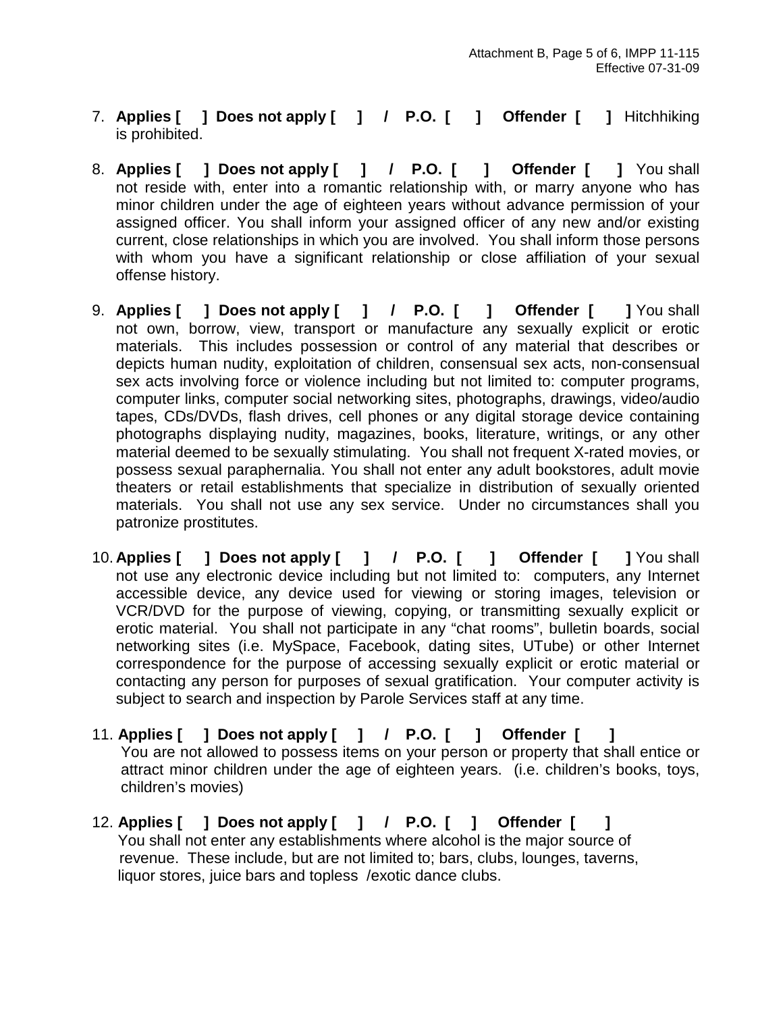- 7. **Applies [ ] Does not apply [ ] / P.O. [ ] Offender [ ]** Hitchhiking is prohibited.
- 8. **Applies [ ] Does not apply [ ] / P.O. [ ] Offender [ ]** You shall not reside with, enter into a romantic relationship with, or marry anyone who has minor children under the age of eighteen years without advance permission of your assigned officer. You shall inform your assigned officer of any new and/or existing current, close relationships in which you are involved. You shall inform those persons with whom you have a significant relationship or close affiliation of your sexual offense history.
- 9. **Applies [ ] Does not apply [ ] / P.O. [ ] Offender [ ]** You shall not own, borrow, view, transport or manufacture any sexually explicit or erotic materials. This includes possession or control of any material that describes or depicts human nudity, exploitation of children, consensual sex acts, non-consensual sex acts involving force or violence including but not limited to: computer programs, computer links, computer social networking sites, photographs, drawings, video/audio tapes, CDs/DVDs, flash drives, cell phones or any digital storage device containing photographs displaying nudity, magazines, books, literature, writings, or any other material deemed to be sexually stimulating. You shall not frequent X-rated movies, or possess sexual paraphernalia. You shall not enter any adult bookstores, adult movie theaters or retail establishments that specialize in distribution of sexually oriented materials. You shall not use any sex service. Under no circumstances shall you patronize prostitutes.
- 10. **Applies [ ] Does not apply [ ] / P.O. [ ] Offender [ ]** You shall not use any electronic device including but not limited to: computers, any Internet accessible device, any device used for viewing or storing images, television or VCR/DVD for the purpose of viewing, copying, or transmitting sexually explicit or erotic material. You shall not participate in any "chat rooms", bulletin boards, social networking sites (i.e. MySpace, Facebook, dating sites, UTube) or other Internet correspondence for the purpose of accessing sexually explicit or erotic material or contacting any person for purposes of sexual gratification. Your computer activity is subject to search and inspection by Parole Services staff at any time.
- 11. **Applies [ ] Does not apply [ ] / P.O. [ ] Offender [ ]**  You are not allowed to possess items on your person or property that shall entice or attract minor children under the age of eighteen years. (i.e. children's books, toys, children's movies)
- 12. **Applies [ ] Does not apply [ ] / P.O. [ ] Offender [ ]**  You shall not enter any establishments where alcohol is the major source of revenue. These include, but are not limited to; bars, clubs, lounges, taverns, liquor stores, juice bars and topless /exotic dance clubs.